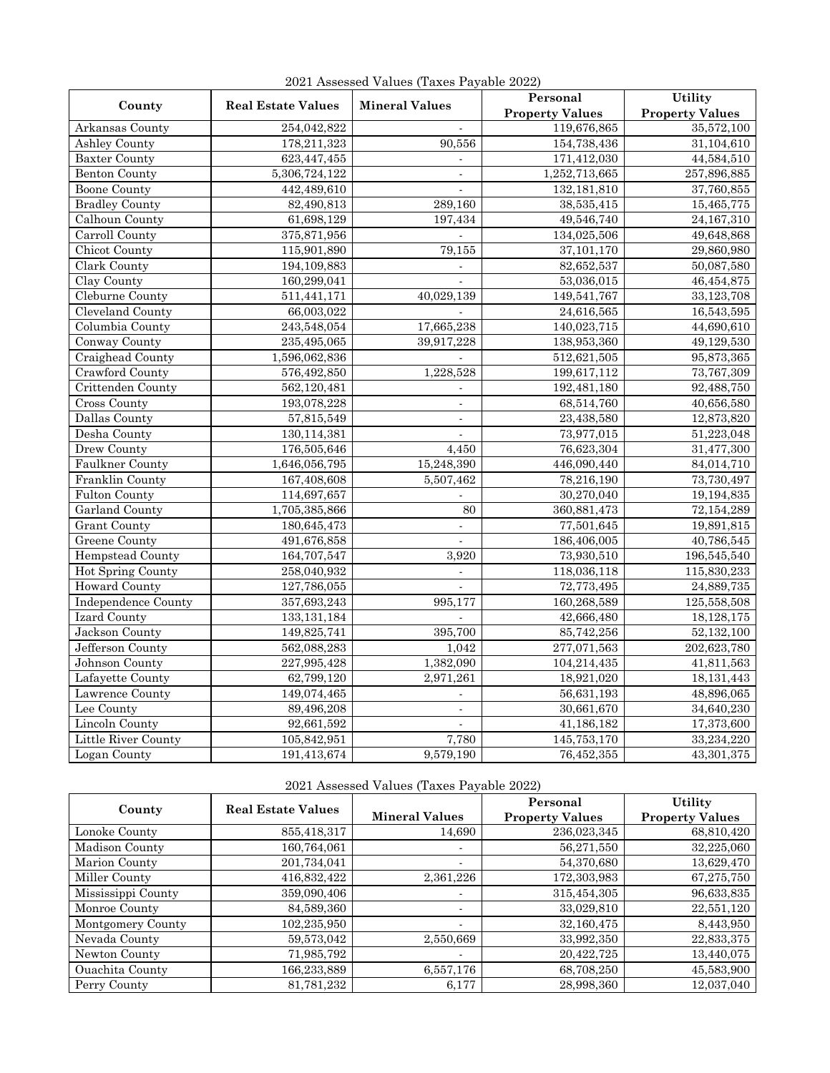| County                     | <b>Real Estate Values</b> |                          | Personal               | Utility                |
|----------------------------|---------------------------|--------------------------|------------------------|------------------------|
|                            |                           | <b>Mineral Values</b>    | <b>Property Values</b> | <b>Property Values</b> |
| Arkansas County            | 254,042,822               |                          | 119,676,865            | 35,572,100             |
| <b>Ashley County</b>       | 178,211,323               | 90,556                   | 154,738,436            | 31,104,610             |
| <b>Baxter County</b>       | 623,447,455               | $\overline{a}$           | 171,412,030            | 44,584,510             |
| <b>Benton County</b>       | 5,306,724,122             | $\overline{\phantom{a}}$ | 1,252,713,665          | 257,896,885            |
| <b>Boone County</b>        | 442,489,610               | $\blacksquare$           | 132,181,810            | 37,760,855             |
| <b>Bradley County</b>      | 82,490,813                | 289,160                  | 38,535,415             | 15,465,775             |
| Calhoun County             | 61,698,129                | 197,434                  | 49,546,740             | 24,167,310             |
| Carroll County             | 375,871,956               | $\mathbf{r}$             | 134,025,506            | 49,648,868             |
| Chicot County              | 115,901,890               | 79,155                   | 37,101,170             | 29,860,980             |
| Clark County               | 194,109,883               | $\overline{a}$           | 82,652,537             | 50,087,580             |
| Clay County                | 160,299,041               |                          | 53,036,015             | 46,454,875             |
| Cleburne County            | 511,441,171               | 40,029,139               | 149,541,767            | 33,123,708             |
| Cleveland County           | 66,003,022                |                          | 24,616,565             | 16,543,595             |
| Columbia County            | 243,548,054               | 17,665,238               | 140,023,715            | 44,690,610             |
| Conway County              | 235,495,065               | 39,917,228               | 138,953,360            | 49,129,530             |
| Craighead County           | 1,596,062,836             |                          | 512,621,505            | 95,873,365             |
| Crawford County            | 576,492,850               | 1,228,528                | 199,617,112            | 73,767,309             |
| Crittenden County          | 562,120,481               | $\blacksquare$           | 192,481,180            | 92,488,750             |
| Cross County               | 193,078,228               |                          | 68,514,760             | 40,656,580             |
| Dallas County              | 57,815,549                | $\overline{\phantom{a}}$ | 23,438,580             | 12,873,820             |
| Desha County               | 130,114,381               | $\blacksquare$           | 73,977,015             | 51,223,048             |
| <b>Drew County</b>         | 176,505,646               | 4,450                    | 76,623,304             | 31,477,300             |
| <b>Faulkner County</b>     | 1,646,056,795             | 15,248,390               | 446,090,440            | 84,014,710             |
| Franklin County            | 167,408,608               | 5,507,462                | 78,216,190             | 73,730,497             |
| <b>Fulton County</b>       | 114,697,657               | $\overline{a}$           | 30,270,040             | 19,194,835             |
| Garland County             | 1,705,385,866             | 80                       | 360,881,473            | 72,154,289             |
| <b>Grant County</b>        | 180,645,473               | $\overline{\phantom{a}}$ | 77,501,645             | 19,891,815             |
| <b>Greene</b> County       | 491,676,858               | $\overline{\phantom{a}}$ | 186,406,005            | 40,786,545             |
| <b>Hempstead County</b>    | 164,707,547               | 3,920                    | 73,930,510             | 196,545,540            |
| Hot Spring County          | 258,040,932               | $\mathbb{Z}^2$           | 118,036,118            | 115,830,233            |
| <b>Howard County</b>       | 127,786,055               |                          | 72,773,495             | 24,889,735             |
| <b>Independence County</b> | 357,693,243               | 995,177                  | 160,268,589            | 125,558,508            |
| <b>Izard County</b>        | 133, 131, 184             |                          | 42,666,480             | 18,128,175             |
| Jackson County             | 149,825,741               | 395,700                  | 85,742,256             | 52,132,100             |
| Jefferson County           | 562,088,283               | 1,042                    | 277,071,563            | 202,623,780            |
| Johnson County             | 227,995,428               | 1,382,090                | 104,214,435            | 41,811,563             |
| Lafayette County           | 62,799,120                | 2,971,261                | 18,921,020             | 18,131,443             |
| Lawrence County            | 149,074,465               |                          | 56,631,193             | 48,896,065             |
| Lee County                 | 89,496,208                |                          | 30,661,670             | 34,640,230             |
| <b>Lincoln County</b>      | 92,661,592                | $\overline{a}$           | 41,186,182             | 17,373,600             |
| Little River County        | 105,842,951               | 7,780                    | 145,753,170            | 33,234,220             |
| Logan County               | 191,413,674               | 9,579,190                | 76,452,355             | 43,301,375             |

2021 Assessed Values (Taxes Payable 2022)

| 2021 Assessed Values (Taxes Payable 2022) |  |  |
|-------------------------------------------|--|--|
|                                           |  |  |

| 2021 Assessed Values (Taxes Payable 2022) |                           |                       |                        |                        |  |
|-------------------------------------------|---------------------------|-----------------------|------------------------|------------------------|--|
| County                                    | <b>Real Estate Values</b> |                       | Personal               | Utility                |  |
|                                           |                           | <b>Mineral Values</b> | <b>Property Values</b> | <b>Property Values</b> |  |
| Lonoke County                             | 855,418,317               | 14,690                | 236,023,345            | 68,810,420             |  |
| Madison County                            | 160,764,061               |                       | 56,271,550             | 32,225,060             |  |
| Marion County                             | 201,734,041               |                       | 54,370,680             | 13,629,470             |  |
| Miller County                             | 416,832,422               | 2,361,226             | 172,303,983            | 67,275,750             |  |
| Mississippi County                        | 359,090,406               |                       | 315,454,305            | 96,633,835             |  |
| Monroe County                             | 84.589.360                |                       | 33,029,810             | 22,551,120             |  |
| Montgomery County                         | 102,235,950               |                       | 32,160,475             | 8,443,950              |  |
| Nevada County                             | 59.573.042                | 2,550,669             | 33,992,350             | 22,833,375             |  |
| Newton County                             | 71,985,792                |                       | 20,422,725             | 13,440,075             |  |
| <b>Ouachita County</b>                    | 166,233,889               | 6,557,176             | 68,708,250             | 45,583,900             |  |
| Perry County                              | 81,781,232                | 6,177                 | 28,998,360             | 12,037,040             |  |